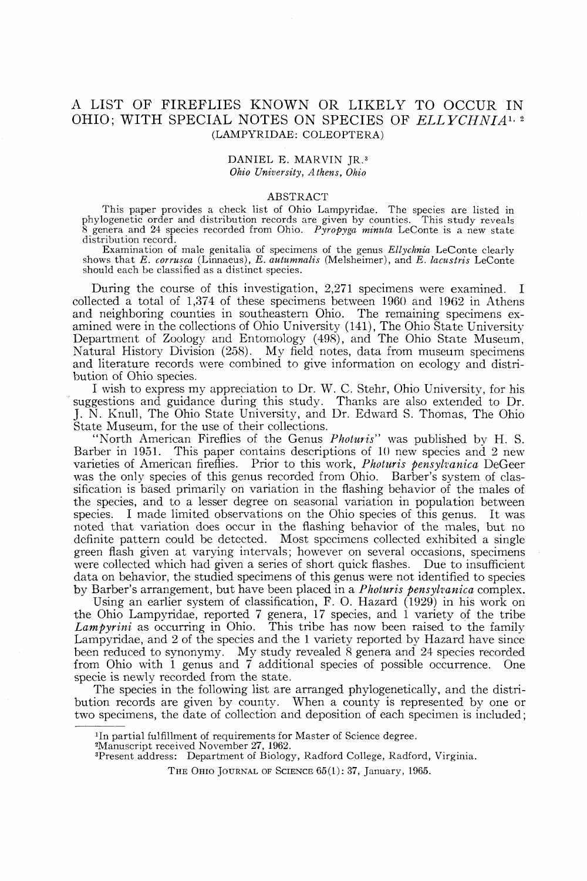# A LIST OF FIREFLIES KNOWN OR LIKELY TO OCCUR IN OHIO; WITH SPECIAL NOTES ON SPECIES OF ELLYCHNIA<sup>1</sup>.<sup>2</sup> (LAMPYRIDAE: COLEOPTERA)

### DANIEL E. MARVIN JR.<sup>3</sup> *Ohio University, Athens, Ohio*

#### ABSTRACT

This paper provides a check list of Ohio Lampyridae. The species are listed in phylogenetic order and distribution records are given by counties. This study reveals 8 genera and 24 species recorded from Ohio. *Pyropyga min* 

Examination of male genitalia of specimens of the genus *Ellychnia* LeConte clearly shows that *E. corrusca* (Linnaeus), *E. autumnalis* (Melsheimer), and *E. lacustris* LeConte should each be classified as a distinct species.

During the course of this investigation, 2,271 specimens were examined. I collected a total of 1,374 of these specimens between I960 and 1962 in Athens and neighboring counties in southeastern Ohio. The remaining specimens examined were in the collections of Ohio University (141), The Ohio State University Department of Zoology and Entomology (498), and The Ohio State Museum, Natural History Division (258). My field notes, data from museum specimens and literature records were combined to give information on ecology and distribution of Ohio species.

I wish to express my appreciation to Dr. W. C. Stehr, Ohio University, for his suggestions and guidance during this study. Thanks are also extended to Dr. J. N. Knull, The Ohio State University, and Dr. Edward S. Thomas, The Ohio State Museum, for the use of their collections.

"North American Fireflies of the Genus *Photuris"* was published by H. S. Barber in 1951. This paper contains descriptions of 10 new species and 2 new varieties of American fireflies. Prior to this work, *Photuris pensylvanica* DeGeer was the only species of this genus recorded from Ohio. Barber's system of classification is based primarily on variation in the flashing behavior of the males of the species, and to a lesser degree on seasonal variation in population between species. I made limited observations on the Ohio species of this genus. It was noted that variation does occur in the flashing behavior of the males, but no definite pattern could be detected. Most specimens collected exhibited a single green flash given at varying intervals; however on several occasions, specimens were collected which had given a series of short quick flashes. Due to insufficient data on behavior, the studied specimens of this genus were not identified to species by Barber's arrangement, but have been placed in a *Photuris pensylvanica* complex.

Using an earlier system of classification, F. O. Hazard (1929) in his work on the Ohio Lampyridae, reported 7 genera, 17 species, and 1 variety of the tribe *Lampyrini* as occurring in Ohio. This tribe has now been raised to the family Lampyridae, and 2 of the species and the 1 variety reported by Hazard have since been reduced to synonymy. My study revealed 8 genera and 24 species recorded from Ohio with 1 genus and 7 additional species of possible occurrence. One specie is newly recorded from the state.

The species in the following list are arranged phylogenetically, and the distribution records are given by county. When a county is represented by one or two specimens, the date of collection and deposition of each specimen is included;

<sup>&</sup>lt;sup>1</sup>In partial fulfillment of requirements for Master of Science degree.

<sup>2</sup>Manuscript received November 27, 1962.

<sup>3</sup> Present address: Department of Biology, Radford College, Radford, Virginia.

THE OHIO JOURNAL OF SCIENCE  $65(1)$ : 37, January, 1965.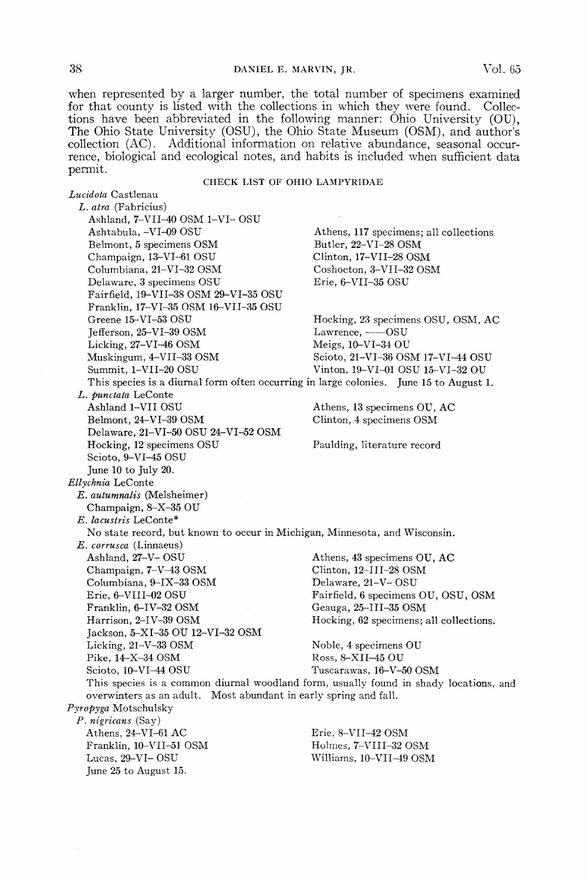when represented by a larger number, the total number of specimens examined for that county is listed with the collections in which they were found. Collections have been abbreviated in the following manner: Ohio University (OU), The Ohio State University (OSU), the Ohio State Museum (OSM), and author's collection (AC). Additional information on relative abundance, seasonal occurrence, biological and ecological notes, and habits is included when sufficient data permit.

## CHECK LIST OF OHIO LAMPYRIDAE

*Lucidota* Castlenau *L. atra* (Fabricius) Ashland, 7-VII-40 OSM 1-VI- OSU Ashtabula, -VI-09 OSU Athens, 117 specimens; all collections Belmont, 5 specimens OSM Butler, 22-VI-28 OSM Champaign, 13-VI-61 OSU Clinton, 17-VII-28 OSM Columbiana, 21-VI-32 OSM Coshocton, 3-VII-32 OSM Delaware, 3 specimens OSU Erie, 6-VII-35 OSU Fairfield, 19-VII-38 OSM 29-VI-35 OSU Franklin, 17-VI-35 OSM 16-VII-35 OSU Greene 15-VI-53 OSU Hocking, 23 specimens OSU, OSM, AC Jefferson, 25-VI-39 OSM Lawrence,  $-$ OSU Licking, 27-VI-46 OSM Meigs, 10-VI-34 OU Muskingum, 4-VII-33 OSM Scioto, 21-VI-36 OSM 17-VI-44 OSU Summit, l-VII-20 OSU Vinton, 19-VI-01 OSU 15-VI-32 OU This species is a diurnal form often occurring in large colonies. June 15 to August 1. *L. punctata* LeConte Ashland 1-VII OSU Athens, 13 specimens OU, AC Belmont, 24-VI-39 OSM Clinton, 4 specimens OSM Delaware, 21-VI-50 OSU 24-VI-52 OSM Hocking, 12 specimens OSU Paulding, literature record Scioto, 9-VI-45 OSU June 10 to July 20. *Ellychnia* LeConte *E. autumnalis* (Melsheimer) Champaign, 8-X-35 OU *E. lacustris* LeConte\* No state record, but known to occur in Michigan, Minnesota, and Wisconsin. *E. corrusca* (Linnaeus) Ashland, 27-V- OSU Athens, 43 specimens OU, AC Champaign, 7-V-43 OSM Clinton, 12-111-28 OSM Columbiana, 9-IX-33 OSM Delaware, 21-V- OSU Erie, 6-VIII-02 OSU Fairfield, 6 specimens OU, OSU, OSM Franklin, 6-IV-32 OSM Geauga, 25-111-35 OSM Harrison, 2-IV-39 OSM Hocking, 62 specimens; all collections. Jackson, 5-XI-35 OU 12-VI-32 OSM Licking, 21-V-33 OSM Noble, 4 specimens OU Pike, 14-X-34 OSM Ross, 8-XII-45 OU Scioto, 10-VI-44 OSU Tuscarawas, 16-V-50 OSM This species is a common diurnal woodland form, usually found in shady locations, and overwinters as an adult. Most abundant in early spring and fall. *Pyropyga* Motschulsky *P. nigricans* (Say) Athens, 24-VI-61 AC Erie, 8-VII-42 OSM Franklin, 10-VII-51 OSM Holmes, 7-VIII-32 OSM Lucas, 29-VI- OSU Williams, 10-VII-49 OSM June 25 to August 15.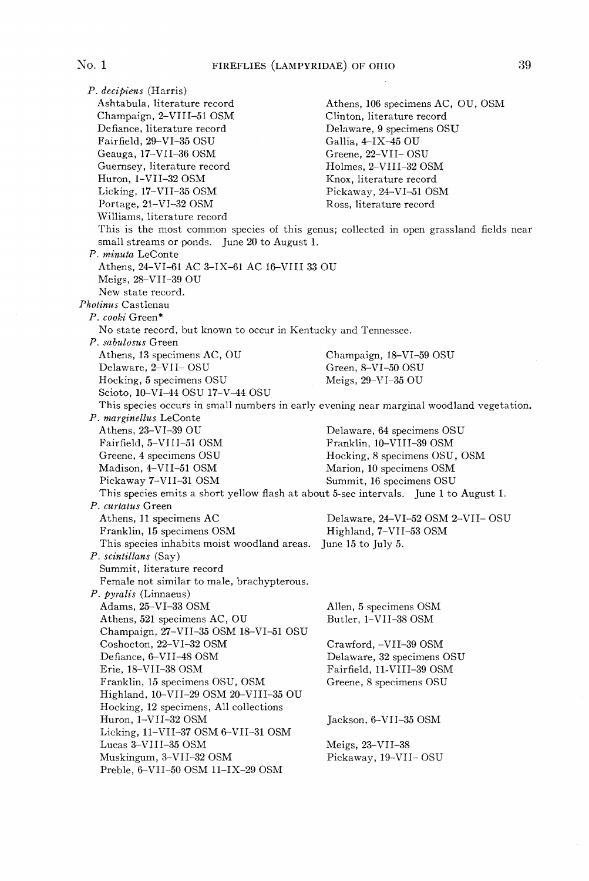*P. decipiens* (Harris) Ashtabula, literature record Athens, 106 specimens AC, OU, OSM Champaign, 2-VIII-51 OSM Clinton, literature record Delaware, 9 specimens OSU<br>Gallia, 4-IX-45 OU Fairfield, 29-VI-35 OSU Gallia, 4-IX-45 OU<br>Geauga, 17-VII-36 OSM Greene, 22-VII- OSU Geauga, 17-VII-36 OSM Greene, 22-VII- OSU<br>Guernsey, literature record Holmes, 2-VIII-32 OSM Guernsey, literature record<br>Huron, 1-VII-32 OSM Knox, literature record Licking, 17-VII-35 OSM Pickaway, 24-VI-51 OSM Portage, 21-VI-32 OSM Ross, literature record Ross, literature record Williams, literature record This is the most common species of this genus; collected in open grassland fields near small streams or ponds. June 20 to August 1. *P. minuta* LeConte Athens, 24-VI-61 AC 3-IX-61 AC 16-VIII 33 OU Meigs, 28-VII-39 OU New state record. *Photinns* Castlenau *P. cooki* Green\* No state record, but known to occur in Kentucky and Tennessee. *P. sabulosus* Green Athens, 13 specimens AC, OU Champaign, 18-VI-59 OSU Delaware, 2-VII- OSU Green, 8-VI-50 OSU Hocking, 5 specimens OSU Meigs, 29-VI-35 OU Scioto, 10-VI-44 OSU 17-V-44 OSU This species occurs in small numbers in early evening near marginal woodland vegetation. *P. marginellus* LeConte Athens, 23-VI-39 OU Delaware, 64 specimens OSU<br>
Fairfield, 5-VIII-51 OSM Franklin, 10-VIII-39 OSM Franklin, 10-VIII-39 OSM Greene, 4 specimens OSU Hocking, 8 specimens OSU, OSM Madison, 4-VII-51 OSM Marion, 10 specimens OSM<br>Pickaway 7-VII-31 OSM Summit, 16 specimens OSU Summit, 16 specimens OSU This species emits a short yellow flash at about 5-sec intervals. June 1 to August 1. *P. curtatus* Green Delaware, 24-VI-52 OSM 2-VII-OSU Franklin, 15 specimens OSM Highland, 7-VII-53 OSM This species inhabits moist woodland areas. June 15 to July 5. *P. scintillans* (Say) Summit, literature record Female not similar to male, brachypterous. *P. pyralis* (Linnaeus) Adams, 25-VI-33 OSM Allen, 5 specimens OSM Athens, 521 specimens AC, OU Butler, 1-VII-38 OSM Champaign, 27-VII-35 OSM 18-VI-51 OSU Coshocton, 22-VI-32 OSM Crawford, -VII-39 OSM Defiance, 6-VII-48 OSM Delaware, 32 specimens Delaware, 32 specimens OSU Erie, 18-VII-38 OSM Fairfield, ll-VIII-39 OSM Franklin, 15 specimens OSU, OSM Greene, 8 specimens OSU Highland, 10-VII-29 OSM 20-VIII-35 OU Hocking, 12 specimens, All collections Huron, 1-VII-32 OSM Jackson, 6-VII-35 OSM Licking, ll-VII-37 OSM 6-VII-31 OSM Lucas 3-VIII-35 OSM Meigs, 23-VII-38 Muskingum, 3-VII-32 OSM Pickaway, 19-VII- OSU Preble, 6-VII-50 OSM ll-IX-29 OSM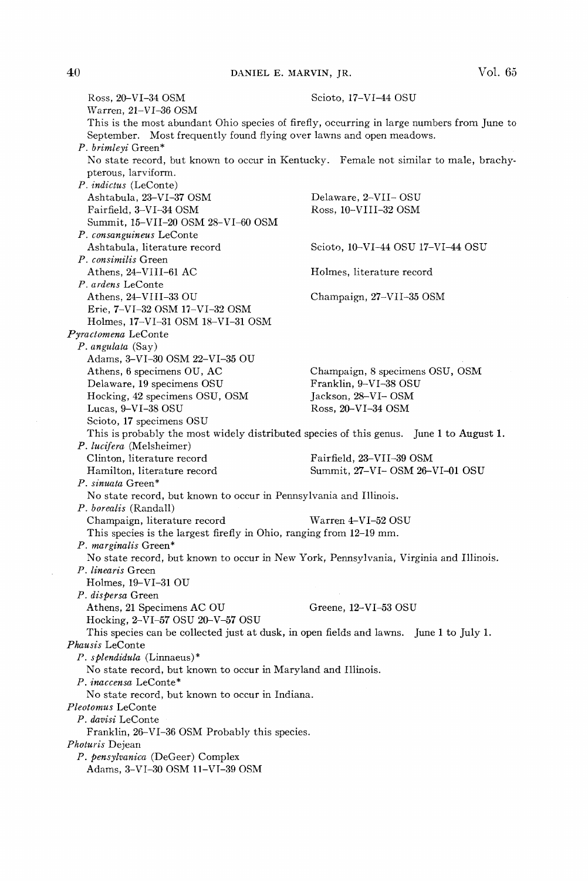Ross, 20-VI-34 OSM Scioto, 17-VI-44 OSU Warren, 21-VI-36 OSM This is the most abundant Ohio species of firefly, occurring in large numbers from June to September. Most frequently found flying over lawns and open meadows. *P. brimleyi* Green\* No state record, but known to occur in Kentucky. Female not similar to male, brachypterous, larviform. *P. indictus* (LeConte) Ashtabula, 23-VI-37 OSM Delaware, 2-VII- OSU Fairfield, 3-VI-34 OSM Ross, 10-VIII-32 OSM Summit, 15-VII-20 OSM 28-VI-60 OSM *P. consanguineus* LeConte Scioto, 10-VI-44 OSU 17-VI-44 OSU *P. consimilis* Green Athens, 24-VIII-61 AC Holmes, literature record *P. ardens* LeConte Athens, 24-VIII-33 OU Champaign, 27-VII-35 OSM Erie, 7-VI-32 OSM 17-VI-32 OSM Holmes, 17-VI-31 OSM 18-VI-31 OSM *Pyractomena* LeConte *P. angulata* (Say) Adams, 3-VI-30 OSM 22-VI-35 OU Athens, 6 specimens OU, AC Champaign, 8 specimens OSU, OSM Delaware. 19 specimens OSU Franklin. 9-VI-38 OSU Delaware, 19 specimens OSU Hocking, 42 specimens OSU, OSM Jackson, 28-VI- OSM Lucas, 9-VI-38 OSU Ross, 20-VI-34 OSM Scioto, 17 specimens OSU This is probably the most widely distributed species of this genus. June 1 to August 1. *P. lucifera* (Melsheimer) Clinton, literature record Fairfield, 23-VII-39 OSM Hamilton, literature record Summit, 27-VI- OSM 26-VI-01 OSU *P. sinuata* Green\* No state record, but known to occur in Pennsylvania and Illinois. *P. borealis* (Randall) Champaign, literature record Warren 4-VI-52 OSU This species is the largest firefly in Ohio, ranging from 12-19 mm. *P. marginalis* Green\* No state record, but known to occur in New York, Pennsylvania, Virginia and Illinois. *P. linearis* Green Holmes, 19-VI-31 OU *P. dispersa* Green Athens, 21 Specimens AC OU Greene, 12-VI-53 OSU Hocking, 2-VI-57 OSU 20-V-57 OSU This species can be collected just at dusk, in open fields and lawns. June 1 to July 1. *Phausis* LeConte *P. splendidula* (Linnaeus)\* No state record, but known to occur in Maryland and Illinois. *P. inaccensa* LeConte\* No state record, but known to occur in Indiana. *Pleotomus* LeConte *P. davisi* LeConte Franklin, 26-VI-36 OSM Probably this species. *Pholuris* Dejean *P. pensylvanica* (DeGeer) Complex Adams, 3-VI-30 OSM ll-VT-39 OSM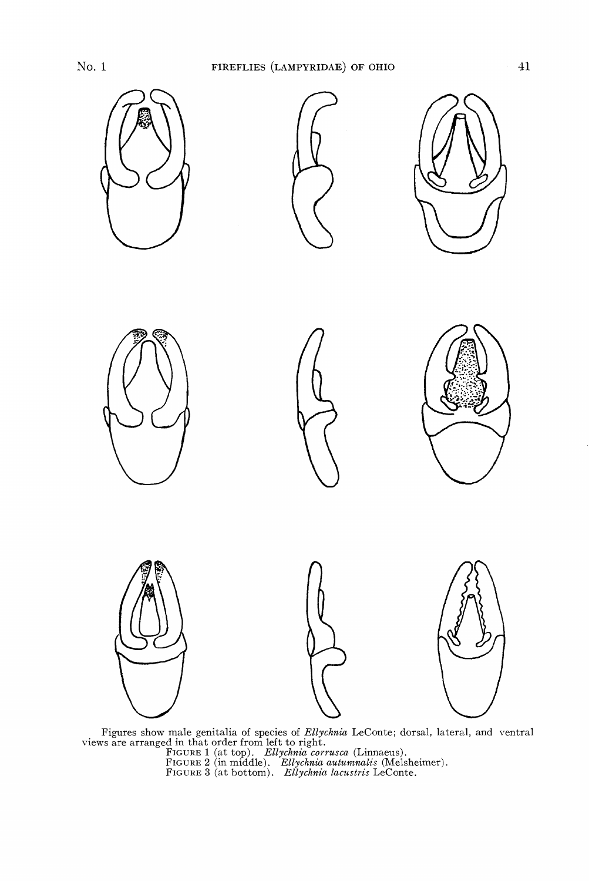

Figures show male genitalia of species of *Ellychnia* LeConte; dorsal, lateral, and ventral views are arranged in that order from left to right.

FIGURE 1 (at top). *Ellychnia corrusca* (Linnaeus). FIGURE 2 (in middle). *Ellychnia autumnalis* (Melsheimer). FIGURE 3 (at bottom). *Ellychnia lacustris* LeConte.